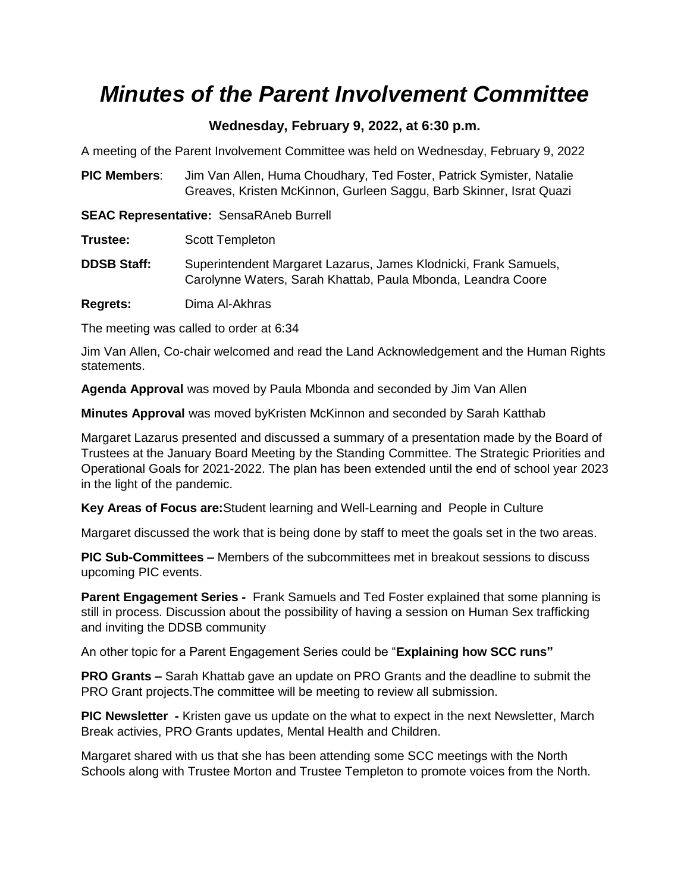## *Minutes of the Parent Involvement Committee*

## **Wednesday, February 9, 2022, at 6:30 p.m.**

A meeting of the Parent Involvement Committee was held on Wednesday, February 9, 2022

**PIC Members**: Jim Van Allen, Huma Choudhary, Ted Foster, Patrick Symister, Natalie Greaves, Kristen McKinnon, Gurleen Saggu, Barb Skinner, Israt Quazi

**SEAC Representative:** SensaRAneb Burrell

| Trustee: | Scott Templeton |
|----------|-----------------|
|----------|-----------------|

**DDSB Staff:** Superintendent Margaret Lazarus, James Klodnicki, Frank Samuels, Carolynne Waters, Sarah Khattab, Paula Mbonda, Leandra Coore

**Regrets:** Dima Al-Akhras

The meeting was called to order at 6:34

Jim Van Allen, Co-chair welcomed and read the Land Acknowledgement and the Human Rights statements.

**Agenda Approval** was moved by Paula Mbonda and seconded by Jim Van Allen

**Minutes Approval** was moved byKristen McKinnon and seconded by Sarah Katthab

Margaret Lazarus presented and discussed a summary of a presentation made by the Board of Trustees at the January Board Meeting by the Standing Committee. The Strategic Priorities and Operational Goals for 2021-2022. The plan has been extended until the end of school year 2023 in the light of the pandemic.

**Key Areas of Focus are:**Student learning and Well-Learning and People in Culture

Margaret discussed the work that is being done by staff to meet the goals set in the two areas.

**PIC Sub-Committees –** Members of the subcommittees met in breakout sessions to discuss upcoming PIC events.

**Parent Engagement Series -** Frank Samuels and Ted Foster explained that some planning is still in process. Discussion about the possibility of having a session on Human Sex trafficking and inviting the DDSB community

An other topic for a Parent Engagement Series could be "**Explaining how SCC runs"**

**PRO Grants –** Sarah Khattab gave an update on PRO Grants and the deadline to submit the PRO Grant projects.The committee will be meeting to review all submission.

**PIC Newsletter -** Kristen gave us update on the what to expect in the next Newsletter, March Break activies, PRO Grants updates, Mental Health and Children.

Margaret shared with us that she has been attending some SCC meetings with the North Schools along with Trustee Morton and Trustee Templeton to promote voices from the North.